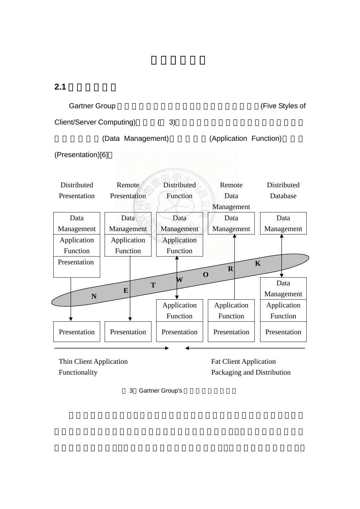$2.1$ 

Gartner Group 
and The Styles of Cartner Group Client/Server Computing) (3) (Data Management) (Application Function) (Presentation)[6] Distributed Presentation Remote Presentation **Distributed** Function Remote Data Management Distributed Database Data Management Data Management Data Management Data Management Data Management Application Function Application Function Application Function Presentation Data Management Application Function Application Function Application Function Presentation | Presentation | Presentation | Presentation | Presentation **T E W O R K N** 

Thin Client Application Functionality

Fat Client Application Packaging and Distribution

3 Gartner Group's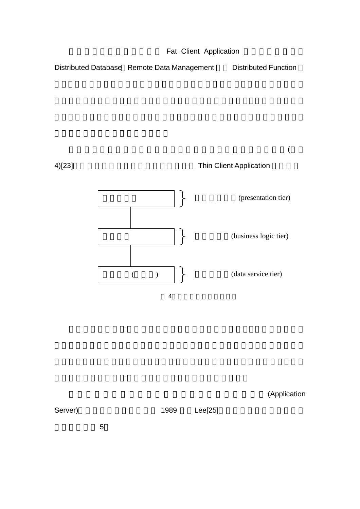

(Application

Server) and the settlement of the 1989 and Lee[25]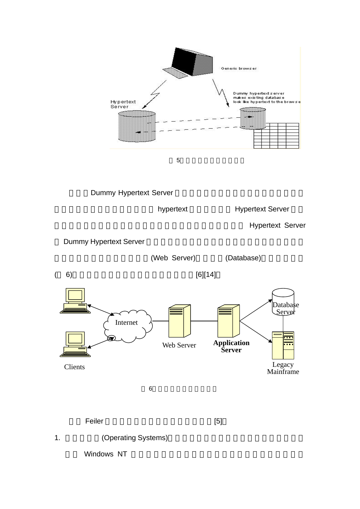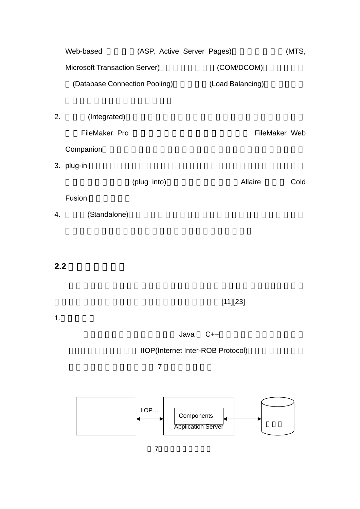|    | Web-based                            |                  |  | (ASP, Active Server Pages) |               | (MTS, |  |
|----|--------------------------------------|------------------|--|----------------------------|---------------|-------|--|
|    | <b>Microsoft Transaction Server)</b> |                  |  | (COM/DCOM)                 |               |       |  |
|    | (Database Connection Pooling)        | (Load Balancing) |  |                            |               |       |  |
|    |                                      |                  |  |                            |               |       |  |
| 2. | (Integrated)                         |                  |  |                            |               |       |  |
|    | FileMaker Pro                        |                  |  |                            | FileMaker Web |       |  |
|    | Companion                            |                  |  |                            |               |       |  |
|    | 3. plug-in                           |                  |  |                            |               |       |  |
|    |                                      | (plug into)      |  | Allaire                    |               | Cold  |  |
|    | Fusion                               |                  |  |                            |               |       |  |
| 4. | (Standalone)                         |                  |  |                            |               |       |  |

 $2.2$ 

 $[11][23]$ 

1.三層式架構

dava C++

## IIOP(Internet Inter-ROB Protocol)

 $7$ 

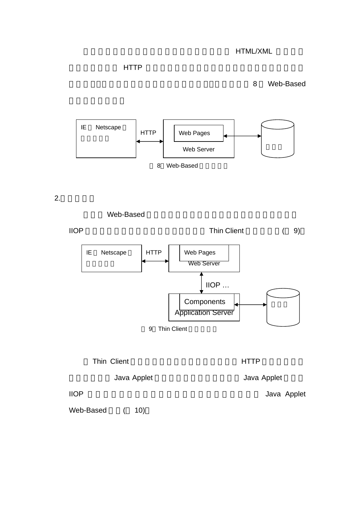## $\blacksquare$

8 Web-Based



2.四層式架構

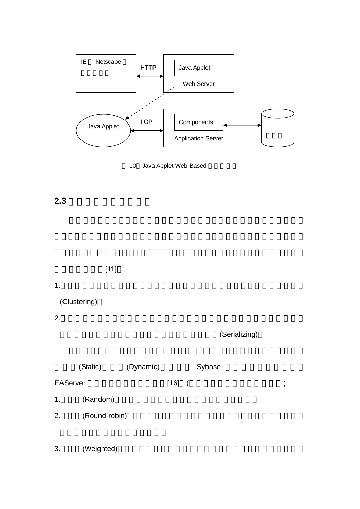

10 Java Applet Web-Based

## **2.3** 多層式架構的派工法則

 $[11]$ 

## 1.  $\overline{a}$

(Clustering)

2.

(Serializing)